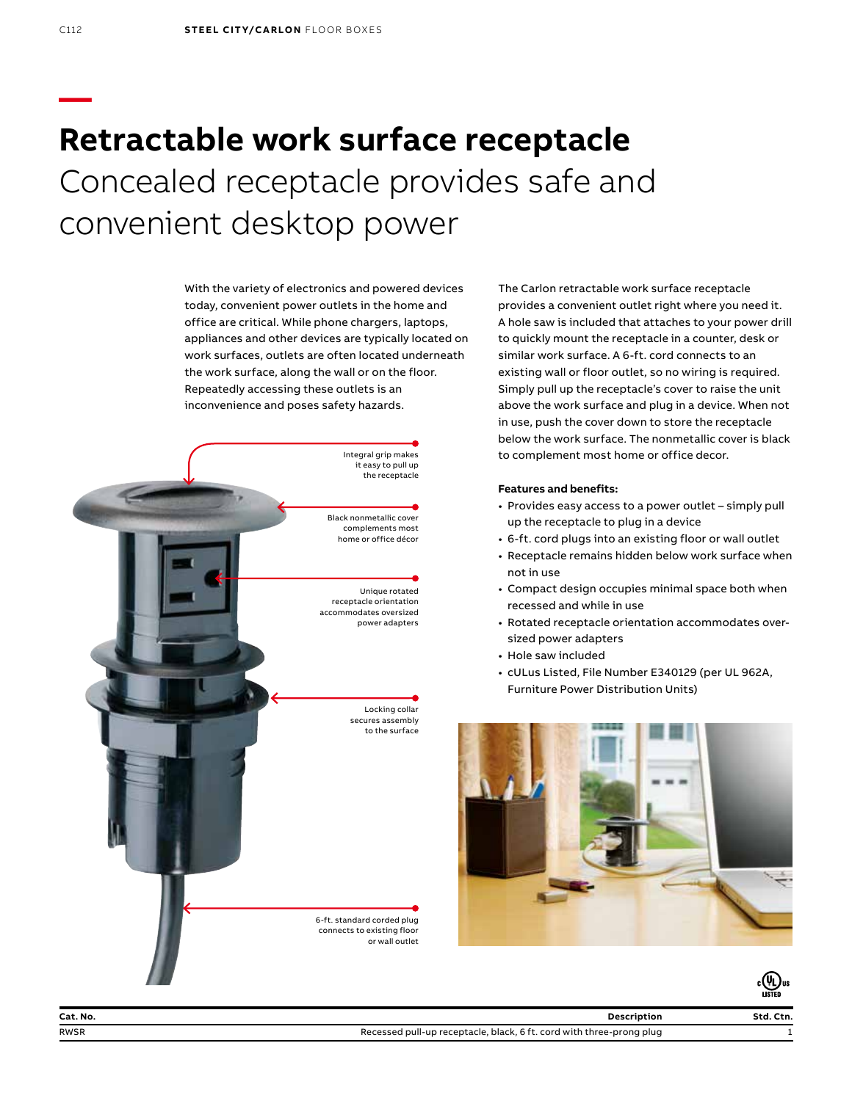# **Retractable work surface receptacle** Concealed receptacle provides safe and convenient desktop power

With the variety of electronics and powered devices today, convenient power outlets in the home and office are critical. While phone chargers, laptops, appliances and other devices are typically located on work surfaces, outlets are often located underneath the work surface, along the wall or on the floor. Repeatedly accessing these outlets is an inconvenience and poses safety hazards.



The Carlon retractable work surface receptacle provides a convenient outlet right where you need it. A hole saw is included that attaches to your power drill to quickly mount the receptacle in a counter, desk or similar work surface. A 6-ft. cord connects to an existing wall or floor outlet, so no wiring is required. Simply pull up the receptacle's cover to raise the unit above the work surface and plug in a device. When not in use, push the cover down to store the receptacle below the work surface. The nonmetallic cover is black to complement most home or office decor.

## **Features and benefits:**

- Provides easy access to a power outlet simply pull up the receptacle to plug in a device
- 6-ft. cord plugs into an existing floor or wall outlet
- Receptacle remains hidden below work surface when not in use
- Compact design occupies minimal space both when recessed and while in use
- Rotated receptacle orientation accommodates oversized power adapters
- Hole saw included
- cULus Listed, File Number E340129 (per UL 962A, Furniture Power Distribution Units)



**—**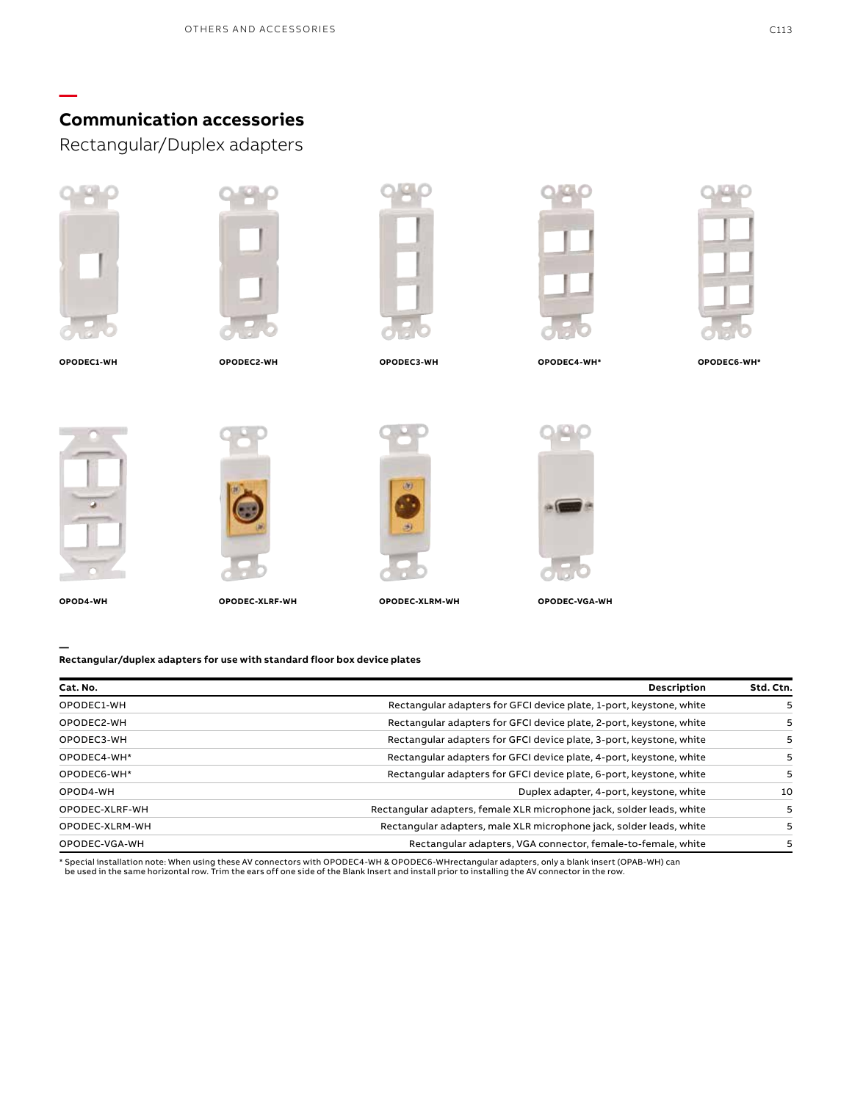# **Communication accessories**

Rectangular/Duplex adapters



**—**





**OPODEC3-WH**

**OPODEC4-WH\***



**OPODEC1-WH OPODEC2-WH OPODEC6-WH\***

**OPOD4-WH**

**—**



**OPODEC-XLRF-WH**





**OPODEC-XLRM-WH OPODEC-VGA-WH**

**Rectangular/duplex adapters for use with standard floor box device plates**

| Cat. No.       | <b>Description</b>                                                    | Std. Ctn. |
|----------------|-----------------------------------------------------------------------|-----------|
| OPODEC1-WH     | Rectangular adapters for GFCI device plate, 1-port, keystone, white   |           |
| OPODEC2-WH     | Rectangular adapters for GFCI device plate, 2-port, keystone, white   |           |
| OPODEC3-WH     | Rectangular adapters for GFCI device plate, 3-port, keystone, white   | 5         |
| OPODEC4-WH*    | Rectangular adapters for GFCI device plate, 4-port, keystone, white   | 5         |
| OPODEC6-WH*    | Rectangular adapters for GFCI device plate, 6-port, keystone, white   | 5         |
| OPOD4-WH       | Duplex adapter, 4-port, keystone, white                               | 10        |
| OPODEC-XLRF-WH | Rectangular adapters, female XLR microphone jack, solder leads, white | 5         |
| OPODEC-XLRM-WH | Rectangular adapters, male XLR microphone jack, solder leads, white   |           |
| OPODEC-VGA-WH  | Rectangular adapters, VGA connector, female-to-female, white          |           |

\* Special installation note: When using these AV connectors with OPODEC4-WH & OPODEC6-WHrectangular adapters, only a blank insert (OPAB-WH) can<br>be used in the same horizontal row. Trim the ears off one side of the Blank In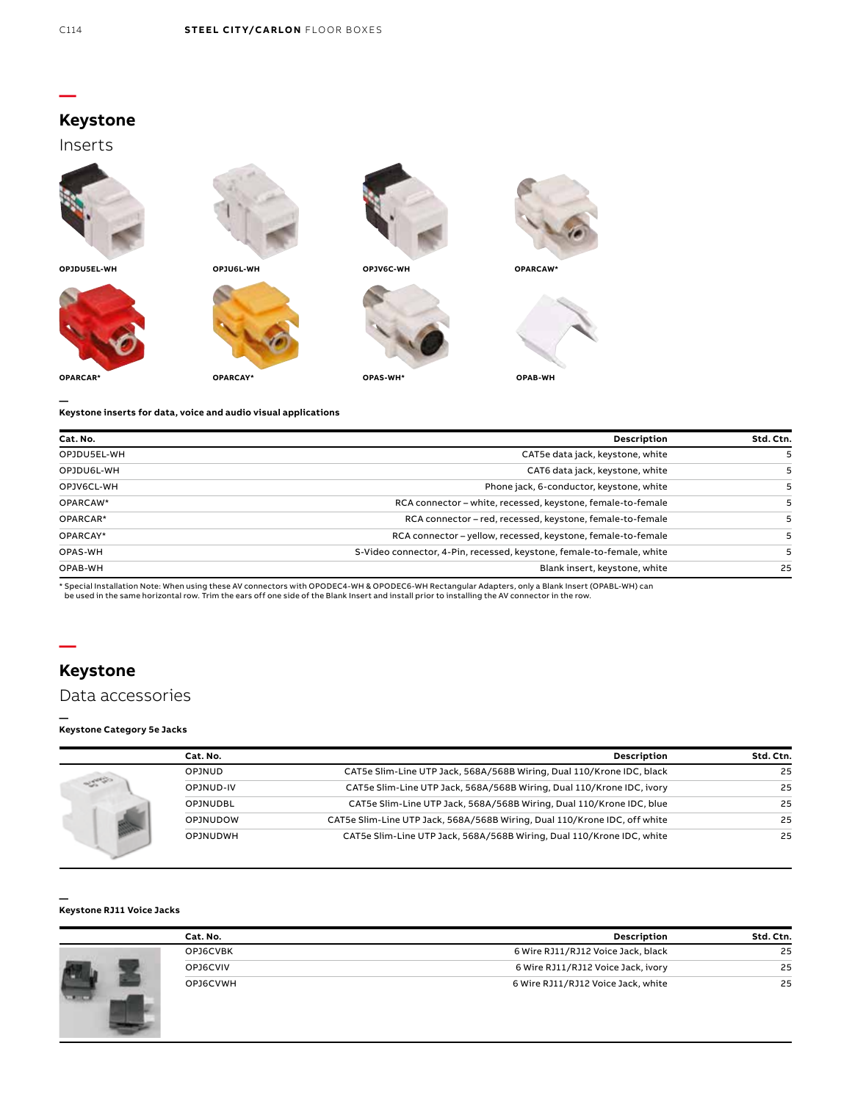## **—**

## **Keystone**

Inserts



**OPJDU5EL-WH**









**— Keystone inserts for data, voice and audio visual applications**

**OPARCAR\* OPARCAY\***

| Cat. No.    | Description                                                           | Std. Ctn. |
|-------------|-----------------------------------------------------------------------|-----------|
| OPJDU5EL-WH | CAT5e data jack, keystone, white                                      |           |
| OPJDU6L-WH  | CAT6 data jack, keystone, white                                       |           |
| OPJV6CL-WH  | Phone jack, 6-conductor, keystone, white                              |           |
| OPARCAW*    | RCA connector – white, recessed, keystone, female-to-female           |           |
| OPARCAR*    | RCA connector – red, recessed, keystone, female-to-female             |           |
| OPARCAY*    | RCA connector - yellow, recessed, keystone, female-to-female          |           |
| OPAS-WH     | S-Video connector, 4-Pin, recessed, keystone, female-to-female, white |           |
| OPAB-WH     | Blank insert, keystone, white                                         | 25        |

\* Special Installation Note: When using these AV connectors with OPODEC4-WH & OPODEC6-WH Rectangular Adapters, only a Blank Insert (OPABL-WH) can<br>be used in the same horizontal row. Trim the ears off one side of the Blank

# **Keystone**

**—**

## Data accessories

#### **— Keystone Category 5e Jacks**

|  | Cat. No.        | <b>Description</b>                                                        | Std. Ctn. |
|--|-----------------|---------------------------------------------------------------------------|-----------|
|  | <b>OPJNUD</b>   | CAT5e Slim-Line UTP Jack, 568A/568B Wiring, Dual 110/Krone IDC, black     | 25        |
|  | OPJNUD-IV       | CAT5e Slim-Line UTP Jack, 568A/568B Wiring, Dual 110/Krone IDC, ivory     | 25        |
|  | <b>OPJNUDBL</b> | CAT5e Slim-Line UTP Jack, 568A/568B Wiring, Dual 110/Krone IDC, blue      | 25        |
|  | <b>OPJNUDOW</b> | CAT5e Slim-Line UTP Jack, 568A/568B Wiring, Dual 110/Krone IDC, off white | 25        |
|  | <b>OPJNUDWH</b> | CAT5e Slim-Line UTP Jack, 568A/568B Wiring, Dual 110/Krone IDC, white     | 25        |

#### **— Keystone RJ11 Voice Jacks**

|  | Cat. No. | <b>Description</b>                 | Std. Ctn. |
|--|----------|------------------------------------|-----------|
|  | OPJ6CVBK | 6 Wire RJ11/RJ12 Voice Jack, black | 25        |
|  | OPJ6CVIV | 6 Wire RJ11/RJ12 Voice Jack, ivory | 25        |
|  | OPJ6CVWH | 6 Wire RJ11/RJ12 Voice Jack, white | 25        |
|  |          |                                    |           |